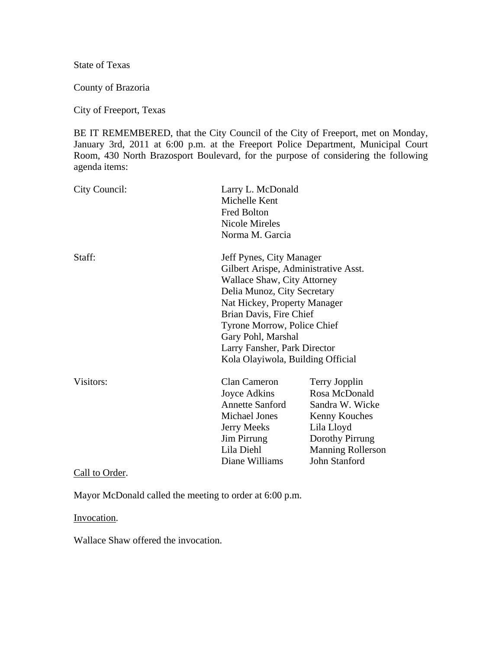State of Texas

County of Brazoria

City of Freeport, Texas

BE IT REMEMBERED, that the City Council of the City of Freeport, met on Monday, January 3rd, 2011 at 6:00 p.m. at the Freeport Police Department, Municipal Court Room, 430 North Brazosport Boulevard, for the purpose of considering the following agenda items:

| City Council:  | Michelle Kent<br><b>Fred Bolton</b><br><b>Nicole Mireles</b><br>Norma M. Garcia                                                                                                                                                                                                                                     | Larry L. McDonald                                                                                                                                |  |
|----------------|---------------------------------------------------------------------------------------------------------------------------------------------------------------------------------------------------------------------------------------------------------------------------------------------------------------------|--------------------------------------------------------------------------------------------------------------------------------------------------|--|
| Staff:         | Jeff Pynes, City Manager<br>Gilbert Arispe, Administrative Asst.<br>Wallace Shaw, City Attorney<br>Delia Munoz, City Secretary<br>Nat Hickey, Property Manager<br>Brian Davis, Fire Chief<br>Tyrone Morrow, Police Chief<br>Gary Pohl, Marshal<br>Larry Fansher, Park Director<br>Kola Olayiwola, Building Official |                                                                                                                                                  |  |
| Visitors:      | <b>Clan Cameron</b><br>Joyce Adkins<br><b>Annette Sanford</b><br><b>Michael Jones</b><br><b>Jerry Meeks</b><br>Jim Pirrung<br>Lila Diehl<br>Diane Williams                                                                                                                                                          | Terry Jopplin<br>Rosa McDonald<br>Sandra W. Wicke<br>Kenny Kouches<br>Lila Lloyd<br>Dorothy Pirrung<br><b>Manning Rollerson</b><br>John Stanford |  |
| Call to Order. |                                                                                                                                                                                                                                                                                                                     |                                                                                                                                                  |  |

Mayor McDonald called the meeting to order at 6:00 p.m.

Invocation.

Wallace Shaw offered the invocation.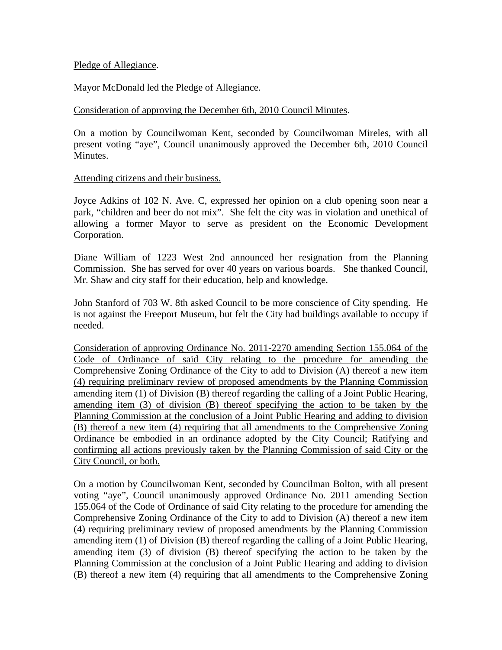## Pledge of Allegiance.

Mayor McDonald led the Pledge of Allegiance.

## Consideration of approving the December 6th, 2010 Council Minutes.

On a motion by Councilwoman Kent, seconded by Councilwoman Mireles, with all present voting "aye", Council unanimously approved the December 6th, 2010 Council Minutes.

## Attending citizens and their business.

Joyce Adkins of 102 N. Ave. C, expressed her opinion on a club opening soon near a park, "children and beer do not mix". She felt the city was in violation and unethical of allowing a former Mayor to serve as president on the Economic Development Corporation.

Diane William of 1223 West 2nd announced her resignation from the Planning Commission. She has served for over 40 years on various boards. She thanked Council, Mr. Shaw and city staff for their education, help and knowledge.

John Stanford of 703 W. 8th asked Council to be more conscience of City spending. He is not against the Freeport Museum, but felt the City had buildings available to occupy if needed.

Consideration of approving Ordinance No. 2011-2270 amending Section 155.064 of the Code of Ordinance of said City relating to the procedure for amending the Comprehensive Zoning Ordinance of the City to add to Division (A) thereof a new item (4) requiring preliminary review of proposed amendments by the Planning Commission amending item (1) of Division (B) thereof regarding the calling of a Joint Public Hearing, amending item (3) of division (B) thereof specifying the action to be taken by the Planning Commission at the conclusion of a Joint Public Hearing and adding to division (B) thereof a new item (4) requiring that all amendments to the Comprehensive Zoning Ordinance be embodied in an ordinance adopted by the City Council; Ratifying and confirming all actions previously taken by the Planning Commission of said City or the City Council, or both.

On a motion by Councilwoman Kent, seconded by Councilman Bolton, with all present voting "aye", Council unanimously approved Ordinance No. 2011 amending Section 155.064 of the Code of Ordinance of said City relating to the procedure for amending the Comprehensive Zoning Ordinance of the City to add to Division (A) thereof a new item (4) requiring preliminary review of proposed amendments by the Planning Commission amending item (1) of Division (B) thereof regarding the calling of a Joint Public Hearing, amending item (3) of division (B) thereof specifying the action to be taken by the Planning Commission at the conclusion of a Joint Public Hearing and adding to division (B) thereof a new item (4) requiring that all amendments to the Comprehensive Zoning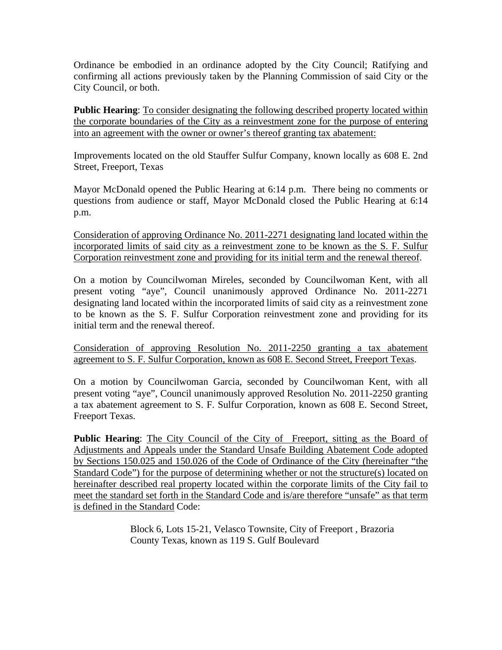Ordinance be embodied in an ordinance adopted by the City Council; Ratifying and confirming all actions previously taken by the Planning Commission of said City or the City Council, or both.

**Public Hearing**: To consider designating the following described property located within the corporate boundaries of the City as a reinvestment zone for the purpose of entering into an agreement with the owner or owner's thereof granting tax abatement:

Improvements located on the old Stauffer Sulfur Company, known locally as 608 E. 2nd Street, Freeport, Texas

Mayor McDonald opened the Public Hearing at 6:14 p.m. There being no comments or questions from audience or staff, Mayor McDonald closed the Public Hearing at 6:14 p.m.

Consideration of approving Ordinance No. 2011-2271 designating land located within the incorporated limits of said city as a reinvestment zone to be known as the S. F. Sulfur Corporation reinvestment zone and providing for its initial term and the renewal thereof.

On a motion by Councilwoman Mireles, seconded by Councilwoman Kent, with all present voting "aye", Council unanimously approved Ordinance No. 2011-2271 designating land located within the incorporated limits of said city as a reinvestment zone to be known as the S. F. Sulfur Corporation reinvestment zone and providing for its initial term and the renewal thereof.

Consideration of approving Resolution No. 2011-2250 granting a tax abatement agreement to S. F. Sulfur Corporation, known as 608 E. Second Street, Freeport Texas.

On a motion by Councilwoman Garcia, seconded by Councilwoman Kent, with all present voting "aye", Council unanimously approved Resolution No. 2011-2250 granting a tax abatement agreement to S. F. Sulfur Corporation, known as 608 E. Second Street, Freeport Texas.

**Public Hearing:** The City Council of the City of Freeport, sitting as the Board of Adjustments and Appeals under the Standard Unsafe Building Abatement Code adopted by Sections 150.025 and 150.026 of the Code of Ordinance of the City (hereinafter "the Standard Code") for the purpose of determining whether or not the structure(s) located on hereinafter described real property located within the corporate limits of the City fail to meet the standard set forth in the Standard Code and is/are therefore "unsafe" as that term is defined in the Standard Code:

> Block 6, Lots 15-21, Velasco Townsite, City of Freeport , Brazoria County Texas, known as 119 S. Gulf Boulevard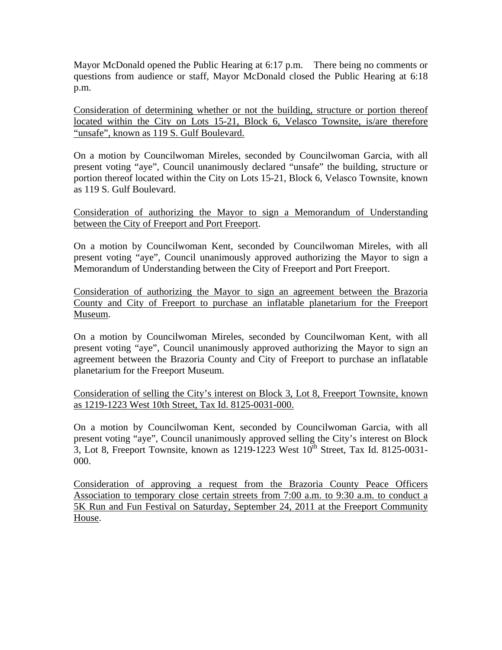Mayor McDonald opened the Public Hearing at 6:17 p.m. There being no comments or questions from audience or staff, Mayor McDonald closed the Public Hearing at 6:18 p.m.

Consideration of determining whether or not the building, structure or portion thereof located within the City on Lots 15-21, Block 6, Velasco Townsite, is/are therefore "unsafe", known as 119 S. Gulf Boulevard.

On a motion by Councilwoman Mireles, seconded by Councilwoman Garcia, with all present voting "aye", Council unanimously declared "unsafe" the building, structure or portion thereof located within the City on Lots 15-21, Block 6, Velasco Townsite, known as 119 S. Gulf Boulevard.

Consideration of authorizing the Mayor to sign a Memorandum of Understanding between the City of Freeport and Port Freeport.

On a motion by Councilwoman Kent, seconded by Councilwoman Mireles, with all present voting "aye", Council unanimously approved authorizing the Mayor to sign a Memorandum of Understanding between the City of Freeport and Port Freeport.

Consideration of authorizing the Mayor to sign an agreement between the Brazoria County and City of Freeport to purchase an inflatable planetarium for the Freeport Museum.

On a motion by Councilwoman Mireles, seconded by Councilwoman Kent, with all present voting "aye", Council unanimously approved authorizing the Mayor to sign an agreement between the Brazoria County and City of Freeport to purchase an inflatable planetarium for the Freeport Museum.

Consideration of selling the City's interest on Block 3, Lot 8, Freeport Townsite, known as 1219-1223 West 10th Street, Tax Id. 8125-0031-000.

On a motion by Councilwoman Kent, seconded by Councilwoman Garcia, with all present voting "aye", Council unanimously approved selling the City's interest on Block 3, Lot 8, Freeport Townsite, known as  $1219-1223$  West  $10^{th}$  Street, Tax Id. 8125-0031-000.

Consideration of approving a request from the Brazoria County Peace Officers Association to temporary close certain streets from 7:00 a.m. to 9:30 a.m. to conduct a 5K Run and Fun Festival on Saturday, September 24, 2011 at the Freeport Community House.